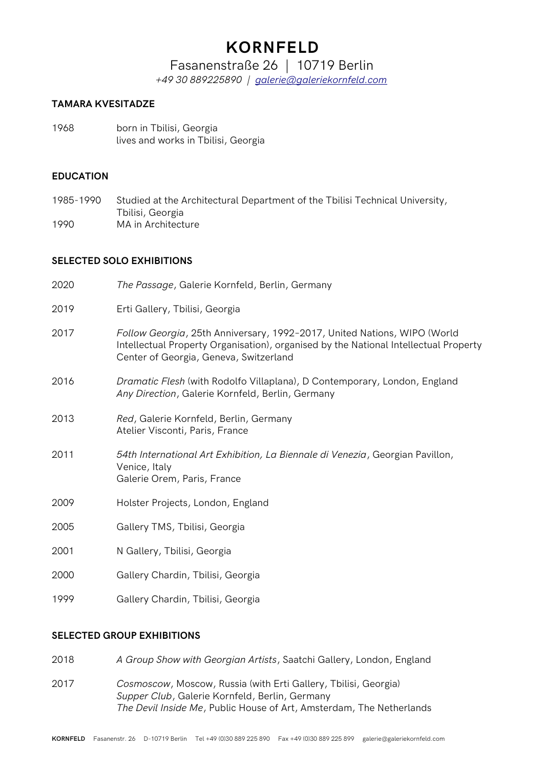# **KORNFELD**

# Fasanenstraße 26 | 10719 Berlin

*+49 30 889225890 | [galerie@galeriekornfeld.com](mailto:galerie@galeriekornfeld.com)*

### **TAMARA KVESITADZE**

1968 born in Tbilisi, Georgia lives and works in Tbilisi, Georgia

#### **EDUCATION**

1985-1990 Studied at the Architectural Department of the Tbilisi Technical University, Tbilisi, Georgia 1990 MA in Architecture

### **SELECTED SOLO EXHIBITIONS**

| 2020 | The Passage, Galerie Kornfeld, Berlin, Germany                                                                                                                                                             |
|------|------------------------------------------------------------------------------------------------------------------------------------------------------------------------------------------------------------|
| 2019 | Erti Gallery, Tbilisi, Georgia                                                                                                                                                                             |
| 2017 | Follow Georgia, 25th Anniversary, 1992-2017, United Nations, WIPO (World<br>Intellectual Property Organisation), organised by the National Intellectual Property<br>Center of Georgia, Geneva, Switzerland |
| 2016 | Dramatic Flesh (with Rodolfo Villaplana), D Contemporary, London, England<br>Any Direction, Galerie Kornfeld, Berlin, Germany                                                                              |
| 2013 | Red, Galerie Kornfeld, Berlin, Germany<br>Atelier Visconti, Paris, France                                                                                                                                  |
| 2011 | 54th International Art Exhibition, La Biennale di Venezia, Georgian Pavillon,<br>Venice, Italy<br>Galerie Orem, Paris, France                                                                              |
| 2009 | Holster Projects, London, England                                                                                                                                                                          |
| 2005 | Gallery TMS, Tbilisi, Georgia                                                                                                                                                                              |
| 2001 | N Gallery, Tbilisi, Georgia                                                                                                                                                                                |
| 2000 | Gallery Chardin, Tbilisi, Georgia                                                                                                                                                                          |

1999 Gallery Chardin, Tbilisi, Georgia

## **SELECTED GROUP EXHIBITIONS**

- 2018 *A Group Show with Georgian Artists*, Saatchi Gallery, London, England
- 2017 *Cosmoscow*, Moscow, Russia (with Erti Gallery, Tbilisi, Georgia) *Supper Club*, Galerie Kornfeld, Berlin, Germany *The Devil Inside Me*, Public House of Art, Amsterdam, The Netherlands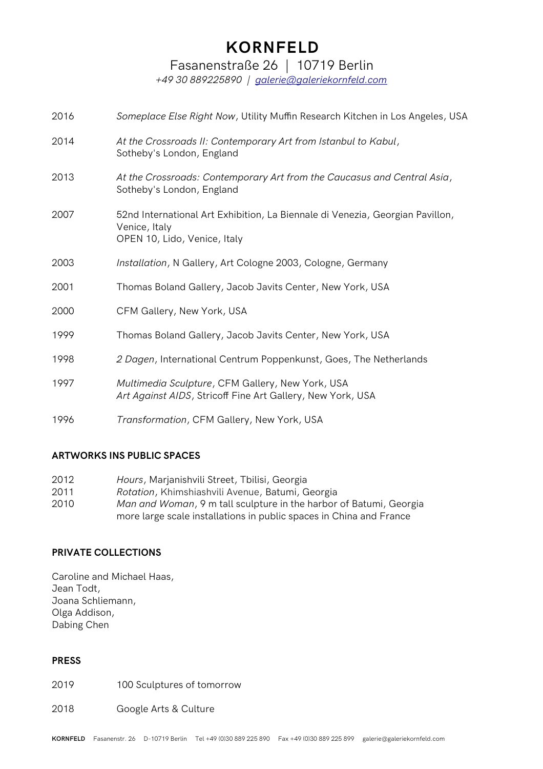# **KORNFELD**

Fasanenstraße 26 | 10719 Berlin

*+49 30 889225890 | [galerie@galeriekornfeld.com](mailto:galerie@galeriekornfeld.com)*

| 2016 | Someplace Else Right Now, Utility Muffin Research Kitchen in Los Angeles, USA                                                  |
|------|--------------------------------------------------------------------------------------------------------------------------------|
| 2014 | At the Crossroads II: Contemporary Art from Istanbul to Kabul,<br>Sotheby's London, England                                    |
| 2013 | At the Crossroads: Contemporary Art from the Caucasus and Central Asia,<br>Sotheby's London, England                           |
| 2007 | 52nd International Art Exhibition, La Biennale di Venezia, Georgian Pavillon,<br>Venice, Italy<br>OPEN 10, Lido, Venice, Italy |
| 2003 | Installation, N Gallery, Art Cologne 2003, Cologne, Germany                                                                    |
| 2001 | Thomas Boland Gallery, Jacob Javits Center, New York, USA                                                                      |
| 2000 | CFM Gallery, New York, USA                                                                                                     |
| 1999 | Thomas Boland Gallery, Jacob Javits Center, New York, USA                                                                      |
| 1998 | 2 Dagen, International Centrum Poppenkunst, Goes, The Netherlands                                                              |
| 1997 | Multimedia Sculpture, CFM Gallery, New York, USA<br>Art Against AIDS, Stricoff Fine Art Gallery, New York, USA                 |
| 1996 | Transformation, CFM Gallery, New York, USA                                                                                     |

# **ARTWORKS INS PUBLIC SPACES**

| 2012 | Hours, Marjanishvili Street, Tbilisi, Georgia                       |
|------|---------------------------------------------------------------------|
| 2011 | Rotation, Khimshiashvili Avenue, Batumi, Georgia                    |
| 2010 | Man and Woman, 9 m tall sculpture in the harbor of Batumi, Georgia  |
|      | more large scale installations in public spaces in China and France |

## **PRIVATE COLLECTIONS**

Caroline and Michael Haas, Jean Todt, Joana Schliemann, Olga Addison, Dabing Chen

#### **PRESS**

2019 100 Sculptures of tomorrow

#### 2018 Google Arts & Culture